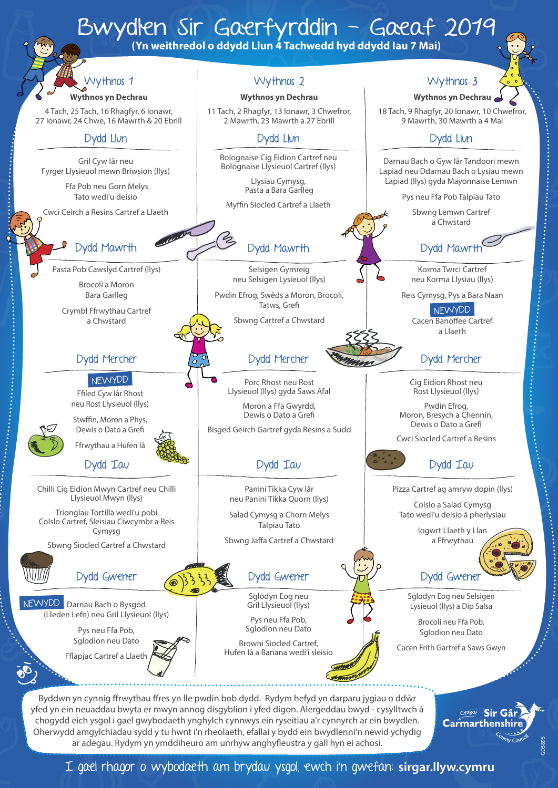# Wythnos 2 Wythnos 3 Bwydlen Sir Gaerfyrddin - Gaeaf 2019<br>(Yn weithredol o ddydd Llun 4 Tachwedd hyd ddydd Iau 7 Mai) Wythnos 1

#### **Wythnos yn Dechrau**

4 Tach, 25 Tach, 16 Rhagfyr, 6 Ionawr, 27 Ionawr, 24 Chwe, 16 Mawrth & 20 Ebrill

#### Dydd Llun

Gril Cyw Iâr neu Fyrger Llysieuol mewn Briwsion (llys)

> Ffa Pob neu Gorn Melys Tato wedi'u deisio

Cwci Ceirch a Resins Cartref a Llaeth

## Dydd Mawrth

Pasta Pob Cawslyd Cartref (llys)

Brocoli a Moron Bara Garlleg

Crymbl Ffrwythau Cartref a Chwstard

#### NEWYDD

Ffiled Cyw Iâr Rhost neu Rost Llysieuol (llys)

Stwffin, Moron a Phys, Dewis o Dato a Grefi

Dydd Iau Ffrwythau a Hufen Iâ

Chilli Cig Eidion Mwyn Cartref neu Chilli Llysieuol Mwyn (llys)

Trionglau Tortilla wedi'u pobi Colslo Cartref, Sleisiau Ciwcymbr a Reis Cymysg

Sbwng Siocled Cartref a Chwstard

## Dydd Gwener

NEWYDD Darnau Bach o Bysgod (Lleden Lefn) neu Gril Llysieuol (llys)

> Pys neu Ffa Pob, Sglodion neu Dato

Fflapjac Cartref a Llaeth

#### **Wythnos yn Dechrau**

11 Tach, 2 Rhagfyr, 13 Ionawr, 3 Chwefror, 2 Mawrth, 23 Mawrth a 27 Ebrill

#### Dydd Llun

Bolognaise Cig Eidion Cartref neu Bolognaise Llysieuol Cartref (llys)

> Llysiau Cymysg, Pasta a Bara Garlleg

Myffin Siocled Cartref a Llaeth

## Dydd Mawrth

Selsigen Gymreig neu Selsigen Lysieuol (llys)

Pwdin Efrog, Swêds a Moron, Brocoli, Tatws, Grefi

Sbwng Cartref a Chwstard

### Dydd Mercher Dydd Mercher Dydd Mercher

Porc Rhost neu Rost Llysieuol (llys) gyda Saws Afal

Moron a Ffa Gwyrdd, Dewis o Dato a Grefi

Bisged Geirch Gartref gyda Resins a Sudd

# Dydd Iau

Panini Tikka Cyw Iâr neu Panini Tikka Quorn (llys)

Salad Cymysg a Chorn Melys Talpiau Tato

Sbwng Jaffa Cartref a Chwstard

### Dydd Gwener

Sglodyn Eog neu Gril Llysieuol (llys)

Pys neu Ffa Pob, Sglodion neu Dato

Browni Siocled Cartref, Hufen Iâ a Banana wedi'i sleisio

Byddwn yn cynnig ffrwythau ffres yn lle pwdin bob dydd. Rydym hefyd yn darparu jygiau o ddŵr yfed yn ein neuaddau bwyta er mwyn annog disgyblion i yfed digon. Alergeddau bwyd - cysylltwch â chogydd eich ysgol i gael gwybodaeth ynghylch cynnwys ein ryseitiau a'r cynnyrch ar ein bwydlen. Oherwydd amgylchiadau sydd y tu hwnt i'n rheolaeth, efallai y bydd ein bwydlenni'n newid ychydig ar adegau. Rydym yn ymddiheuro am unrhyw anghyfleustra y gall hyn ei achosi.

#### **Wythnos yn Dechrau**

18 Tach, 9 Rhagfyr, 20 Ionawr, 10 Chwefror, 9 Mawrth, 30 Mawrth a 4 Mai

#### Dydd Llun

Darnau Bach o Gyw Iâr Tandoori mewn Lapiad neu Ddarnau Bach o Lysiau mewn Lapiad (llys) gyda Mayonnaise Lemwn

Pys neu Ffa Pob Talpiau Tato

Sbwng Lemwn Cartref a Chwstard

# Dydd Mawrth

Korma Twrci Cartref neu Korma Llysiau (llys)

Reis Cymysg, Pys a Bara Naan

Cacen Banoffee Cartref a Llaeth NEWYDD

Cig Eidion Rhost neu Rost Llysieuol (llys)

Pwdin Efrog, Moron, Bresych a Chennin, Dewis o Dato a Grefi

Cwci Siocled Cartref a Resins



Pizza Cartref ag amryw dopin (llys)

Colslo a Salad Cymysg Tato wedi'u deisio â pherlysiau

> Iogwrt Llaeth y Llan a Ffrwythau

# Dydd Gwener

Sglodyn Eog neu Selsigen Lysieuol (llys) a Dip Salsa

Brocoli neu Ffa Pob, Sglodion neu Dato

Cacen Frith Gartref a Saws Gwyn

Cyngor Sir Gâr Carmarthenshire

I gael rhagor o wybodaeth am brydau ysgol, ewch i'n gwefan: **sirgar.llyw.cymru**



GD5895